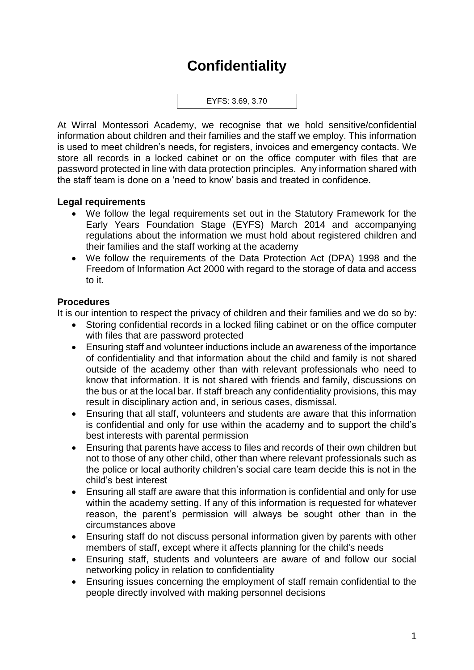## **Confidentiality**



At Wirral Montessori Academy, we recognise that we hold sensitive/confidential information about children and their families and the staff we employ. This information is used to meet children's needs, for registers, invoices and emergency contacts. We store all records in a locked cabinet or on the office computer with files that are password protected in line with data protection principles. Any information shared with the staff team is done on a 'need to know' basis and treated in confidence.

## **Legal requirements**

- We follow the legal requirements set out in the Statutory Framework for the Early Years Foundation Stage (EYFS) March 2014 and accompanying regulations about the information we must hold about registered children and their families and the staff working at the academy
- We follow the requirements of the Data Protection Act (DPA) 1998 and the Freedom of Information Act 2000 with regard to the storage of data and access to it.

## **Procedures**

It is our intention to respect the privacy of children and their families and we do so by:

- Storing confidential records in a locked filing cabinet or on the office computer with files that are password protected
- Ensuring staff and volunteer inductions include an awareness of the importance of confidentiality and that information about the child and family is not shared outside of the academy other than with relevant professionals who need to know that information. It is not shared with friends and family, discussions on the bus or at the local bar. If staff breach any confidentiality provisions, this may result in disciplinary action and, in serious cases, dismissal.
- Ensuring that all staff, volunteers and students are aware that this information is confidential and only for use within the academy and to support the child's best interests with parental permission
- Ensuring that parents have access to files and records of their own children but not to those of any other child, other than where relevant professionals such as the police or local authority children's social care team decide this is not in the child's best interest
- Ensuring all staff are aware that this information is confidential and only for use within the academy setting. If any of this information is requested for whatever reason, the parent's permission will always be sought other than in the circumstances above
- Ensuring staff do not discuss personal information given by parents with other members of staff, except where it affects planning for the child's needs
- Ensuring staff, students and volunteers are aware of and follow our social networking policy in relation to confidentiality
- Ensuring issues concerning the employment of staff remain confidential to the people directly involved with making personnel decisions